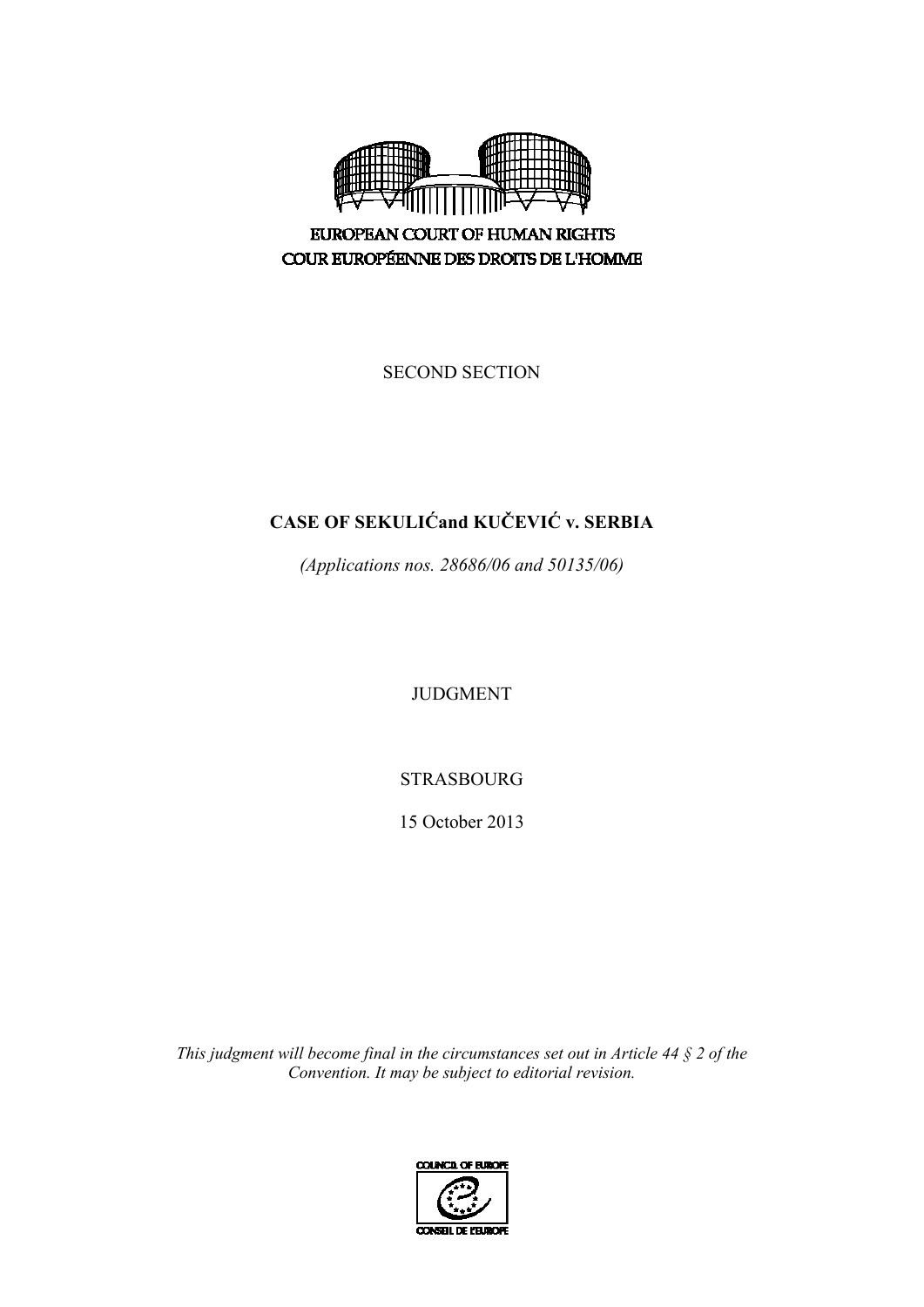

EUROPEAN COURT OF HUMAN RIGHTS COUR EUROPÉENNE DES DROITS DE L'HOMME

SECOND SECTION

# **CASE OF SEKULIĆand KUČEVIĆ v. SERBIA**

*(Applications nos. 28686/06 and 50135/06)* 

JUDGMENT

STRASBOURG

15 October 2013

*This judgment will become final in the circumstances set out in Article 44 § 2 of the Convention. It may be subject to editorial revision.*

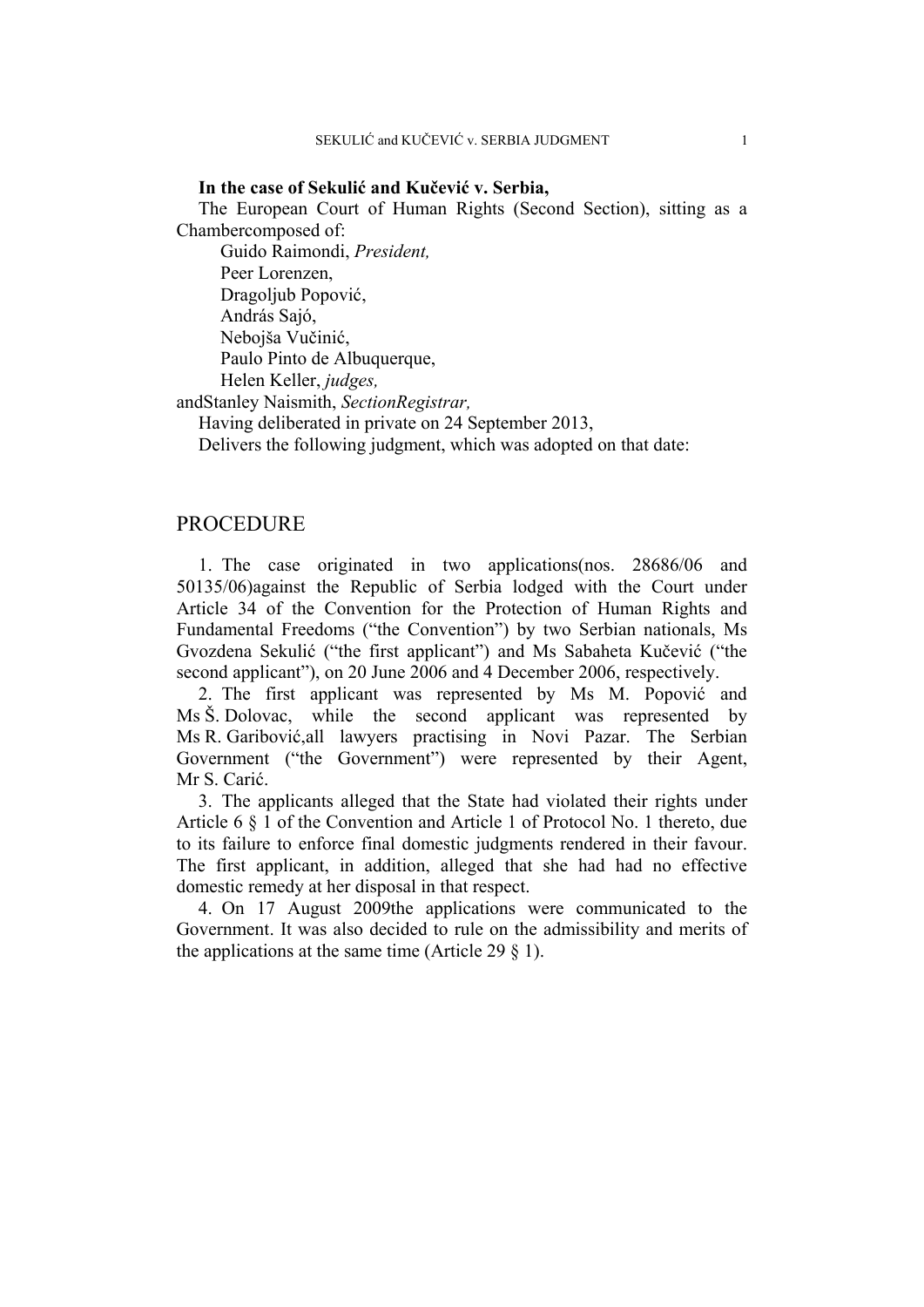#### **In the case of Sekulić and Kučević v. Serbia,**

The European Court of Human Rights (Second Section), sitting as a Chambercomposed of:

Guido Raimondi, *President,*  Peer Lorenzen, Dragoljub Popović, András Sajó, Nebojša Vučinić, Paulo Pinto de Albuquerque, Helen Keller, *judges,*

andStanley Naismith, *SectionRegistrar,*

Having deliberated in private on 24 September 2013,

Delivers the following judgment, which was adopted on that date:

## PROCEDURE

1. The case originated in two applications(nos. 28686/06 and 50135/06)against the Republic of Serbia lodged with the Court under Article 34 of the Convention for the Protection of Human Rights and Fundamental Freedoms ("the Convention") by two Serbian nationals, Ms Gvozdena Sekulić ("the first applicant") and Ms Sabaheta Kučević ("the second applicant"), on 20 June 2006 and 4 December 2006, respectively.

2. The first applicant was represented by Ms M. Popović and Ms Š. Dolovac, while the second applicant was represented by Ms R. Garibović,all lawyers practising in Novi Pazar. The Serbian Government ("the Government") were represented by their Agent, Mr S. Carić.

3. The applicants alleged that the State had violated their rights under Article 6 § 1 of the Convention and Article 1 of Protocol No. 1 thereto, due to its failure to enforce final domestic judgments rendered in their favour. The first applicant, in addition, alleged that she had had no effective domestic remedy at her disposal in that respect.

4. On 17 August 2009the applications were communicated to the Government. It was also decided to rule on the admissibility and merits of the applications at the same time (Article 29  $\S$  1).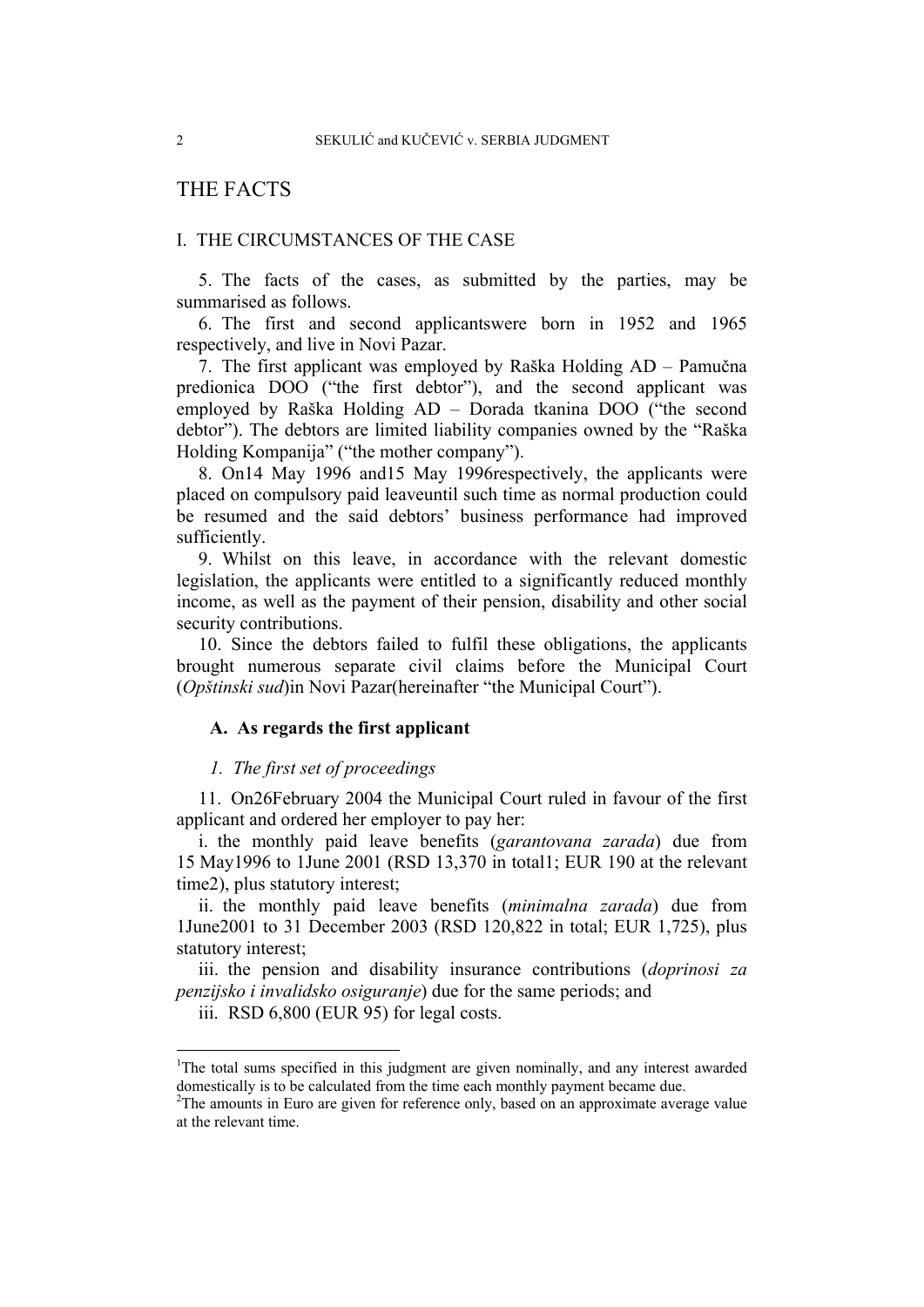## THE FACTS

## I. THE CIRCUMSTANCES OF THE CASE

5. The facts of the cases, as submitted by the parties, may be summarised as follows.

6. The first and second applicantswere born in 1952 and 1965 respectively, and live in Novi Pazar.

7. The first applicant was employed by Raška Holding AD – Pamučna predionica DOO ("the first debtor"), and the second applicant was employed by Raška Holding AD – Dorada tkanina DOO ("the second debtor"). The debtors are limited liability companies owned by the "Raška Holding Kompanija" ("the mother company").

8. On14 May 1996 and15 May 1996respectively, the applicants were placed on compulsory paid leaveuntil such time as normal production could be resumed and the said debtors' business performance had improved sufficiently.

9. Whilst on this leave, in accordance with the relevant domestic legislation, the applicants were entitled to a significantly reduced monthly income, as well as the payment of their pension, disability and other social security contributions.

10. Since the debtors failed to fulfil these obligations, the applicants brought numerous separate civil claims before the Municipal Court (*Opštinski sud*)in Novi Pazar(hereinafter "the Municipal Court").

## **A. As regards the first applicant**

## *1. The first set of proceedings*

11. On26February 2004 the Municipal Court ruled in favour of the first applicant and ordered her employer to pay her:

i. the monthly paid leave benefits (*garantovana zarada*) due from 15 May1996 to 1June 2001 (RSD 13,370 in total1; EUR 190 at the relevant time2), plus statutory interest;

ii. the monthly paid leave benefits (*minimalna zarada*) due from 1June2001 to 31 December 2003 (RSD 120,822 in total; EUR 1,725), plus statutory interest;

iii. the pension and disability insurance contributions (*doprinosi za penzijsko i invalidsko osiguranje*) due for the same periods; and

iii. RSD 6,800 (EUR 95) for legal costs.

1

<sup>&</sup>lt;sup>1</sup>The total sums specified in this judgment are given nominally, and any interest awarded domestically is to be calculated from the time each monthly payment became due.

<sup>&</sup>lt;sup>2</sup>The amounts in Euro are given for reference only, based on an approximate average value at the relevant time.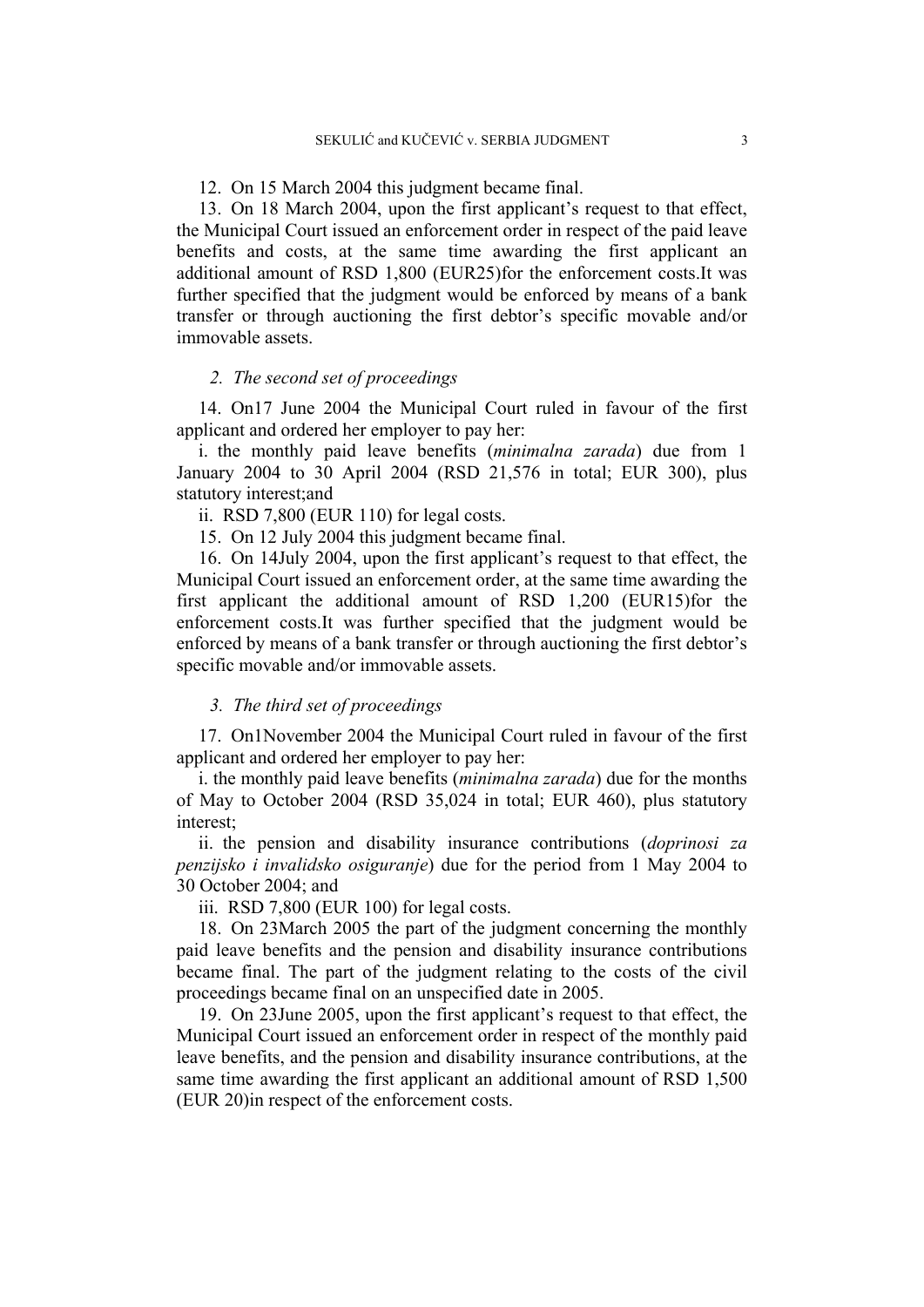12. On 15 March 2004 this judgment became final.

13. On 18 March 2004, upon the first applicant's request to that effect, the Municipal Court issued an enforcement order in respect of the paid leave benefits and costs, at the same time awarding the first applicant an additional amount of RSD 1,800 (EUR25)for the enforcement costs.It was further specified that the judgment would be enforced by means of a bank transfer or through auctioning the first debtor's specific movable and/or immovable assets.

#### *2. The second set of proceedings*

14. On17 June 2004 the Municipal Court ruled in favour of the first applicant and ordered her employer to pay her:

i. the monthly paid leave benefits (*minimalna zarada*) due from 1 January 2004 to 30 April 2004 (RSD 21,576 in total; EUR 300), plus statutory interest;and

ii. RSD 7,800 (EUR 110) for legal costs.

15. On 12 July 2004 this judgment became final.

16. On 14July 2004, upon the first applicant's request to that effect, the Municipal Court issued an enforcement order, at the same time awarding the first applicant the additional amount of RSD 1,200 (EUR15)for the enforcement costs.It was further specified that the judgment would be enforced by means of a bank transfer or through auctioning the first debtor's specific movable and/or immovable assets.

## *3. The third set of proceedings*

17. On1November 2004 the Municipal Court ruled in favour of the first applicant and ordered her employer to pay her:

i. the monthly paid leave benefits (*minimalna zarada*) due for the months of May to October 2004 (RSD 35,024 in total; EUR 460), plus statutory interest;

ii. the pension and disability insurance contributions (*doprinosi za penzijsko i invalidsko osiguranje*) due for the period from 1 May 2004 to 30 October 2004; and

iii. RSD 7,800 (EUR 100) for legal costs.

18. On 23March 2005 the part of the judgment concerning the monthly paid leave benefits and the pension and disability insurance contributions became final. The part of the judgment relating to the costs of the civil proceedings became final on an unspecified date in 2005.

19. On 23June 2005, upon the first applicant's request to that effect, the Municipal Court issued an enforcement order in respect of the monthly paid leave benefits, and the pension and disability insurance contributions, at the same time awarding the first applicant an additional amount of RSD 1,500 (EUR 20)in respect of the enforcement costs.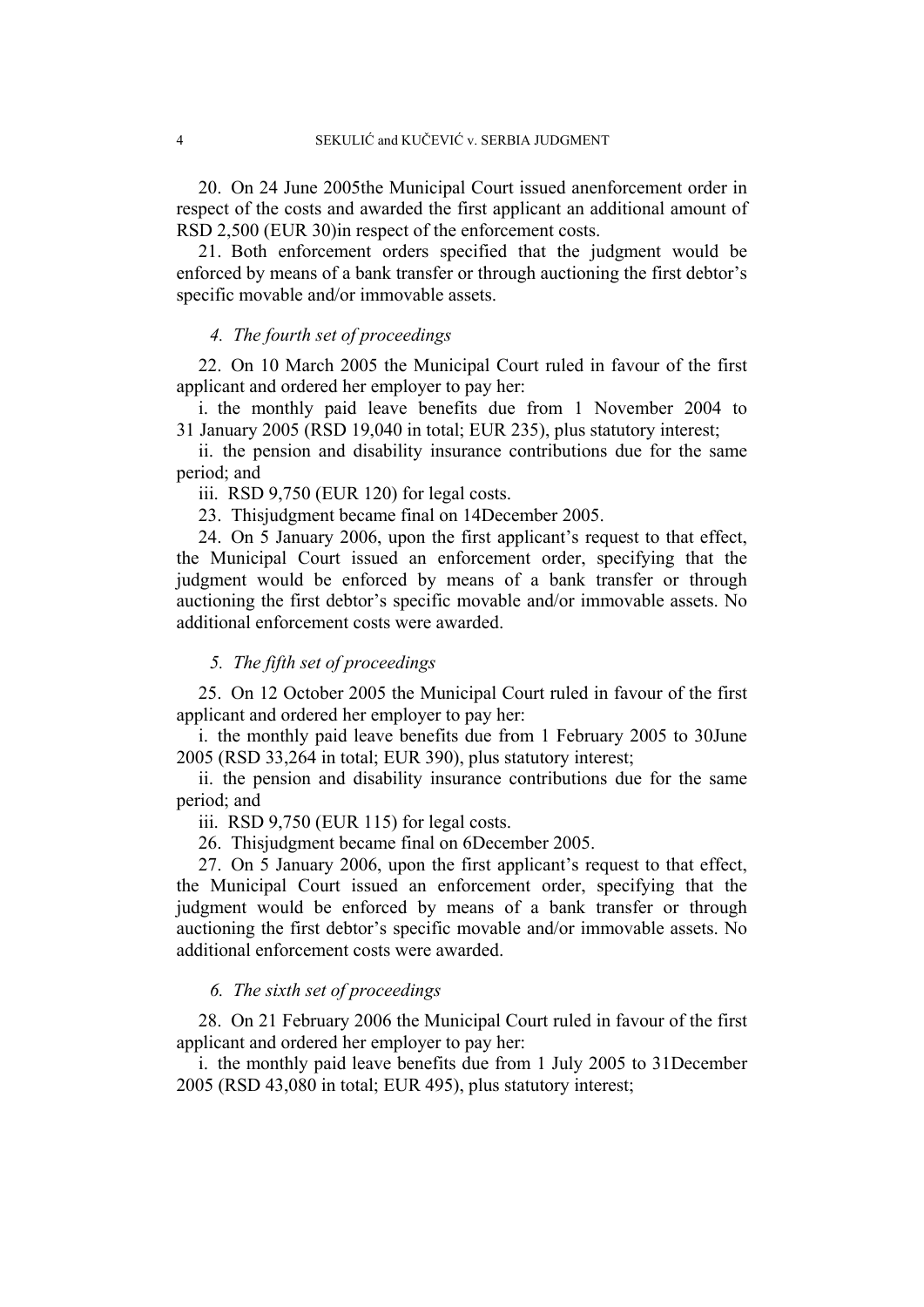20. On 24 June 2005the Municipal Court issued anenforcement order in respect of the costs and awarded the first applicant an additional amount of RSD 2,500 (EUR 30)in respect of the enforcement costs.

21. Both enforcement orders specified that the judgment would be enforced by means of a bank transfer or through auctioning the first debtor's specific movable and/or immovable assets.

#### *4. The fourth set of proceedings*

22. On 10 March 2005 the Municipal Court ruled in favour of the first applicant and ordered her employer to pay her:

i. the monthly paid leave benefits due from 1 November 2004 to 31 January 2005 (RSD 19,040 in total; EUR 235), plus statutory interest;

ii. the pension and disability insurance contributions due for the same period; and

iii. RSD 9,750 (EUR 120) for legal costs.

23. Thisjudgment became final on 14December 2005.

24. On 5 January 2006, upon the first applicant's request to that effect, the Municipal Court issued an enforcement order, specifying that the judgment would be enforced by means of a bank transfer or through auctioning the first debtor's specific movable and/or immovable assets. No additional enforcement costs were awarded.

## *5. The fifth set of proceedings*

25. On 12 October 2005 the Municipal Court ruled in favour of the first applicant and ordered her employer to pay her:

i. the monthly paid leave benefits due from 1 February 2005 to 30June 2005 (RSD 33,264 in total; EUR 390), plus statutory interest;

ii. the pension and disability insurance contributions due for the same period; and

iii. RSD 9,750 (EUR 115) for legal costs.

26. Thisjudgment became final on 6December 2005.

27. On 5 January 2006, upon the first applicant's request to that effect, the Municipal Court issued an enforcement order, specifying that the judgment would be enforced by means of a bank transfer or through auctioning the first debtor's specific movable and/or immovable assets. No additional enforcement costs were awarded.

## *6. The sixth set of proceedings*

28. On 21 February 2006 the Municipal Court ruled in favour of the first applicant and ordered her employer to pay her:

i. the monthly paid leave benefits due from 1 July 2005 to 31December 2005 (RSD 43,080 in total; EUR 495), plus statutory interest;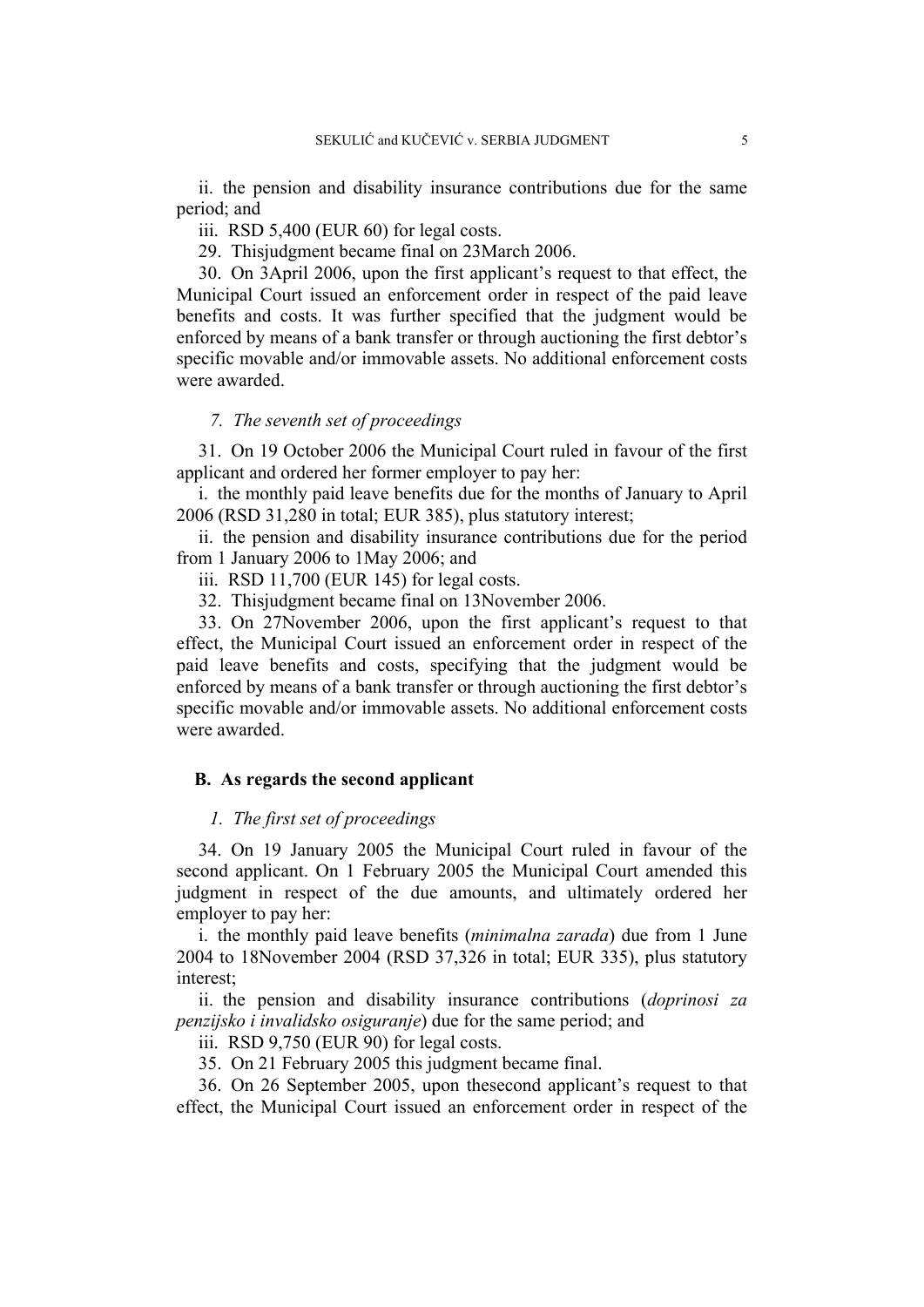ii. the pension and disability insurance contributions due for the same period; and

iii. RSD 5,400 (EUR 60) for legal costs.

29. Thisjudgment became final on 23March 2006.

30. On 3April 2006, upon the first applicant's request to that effect, the Municipal Court issued an enforcement order in respect of the paid leave benefits and costs. It was further specified that the judgment would be enforced by means of a bank transfer or through auctioning the first debtor's specific movable and/or immovable assets. No additional enforcement costs were awarded.

## *7. The seventh set of proceedings*

31. On 19 October 2006 the Municipal Court ruled in favour of the first applicant and ordered her former employer to pay her:

i. the monthly paid leave benefits due for the months of January to April 2006 (RSD 31,280 in total; EUR 385), plus statutory interest;

ii. the pension and disability insurance contributions due for the period from 1 January 2006 to 1May 2006; and

iii. RSD 11,700 (EUR 145) for legal costs.

32. Thisjudgment became final on 13November 2006.

33. On 27November 2006, upon the first applicant's request to that effect, the Municipal Court issued an enforcement order in respect of the paid leave benefits and costs, specifying that the judgment would be enforced by means of a bank transfer or through auctioning the first debtor's specific movable and/or immovable assets. No additional enforcement costs were awarded.

## **B. As regards the second applicant**

## *1. The first set of proceedings*

34. On 19 January 2005 the Municipal Court ruled in favour of the second applicant. On 1 February 2005 the Municipal Court amended this judgment in respect of the due amounts, and ultimately ordered her employer to pay her:

i. the monthly paid leave benefits (*minimalna zarada*) due from 1 June 2004 to 18November 2004 (RSD 37,326 in total; EUR 335), plus statutory interest;

ii. the pension and disability insurance contributions (*doprinosi za penzijsko i invalidsko osiguranje*) due for the same period; and

iii. RSD 9,750 (EUR 90) for legal costs.

35. On 21 February 2005 this judgment became final.

36. On 26 September 2005, upon thesecond applicant's request to that effect, the Municipal Court issued an enforcement order in respect of the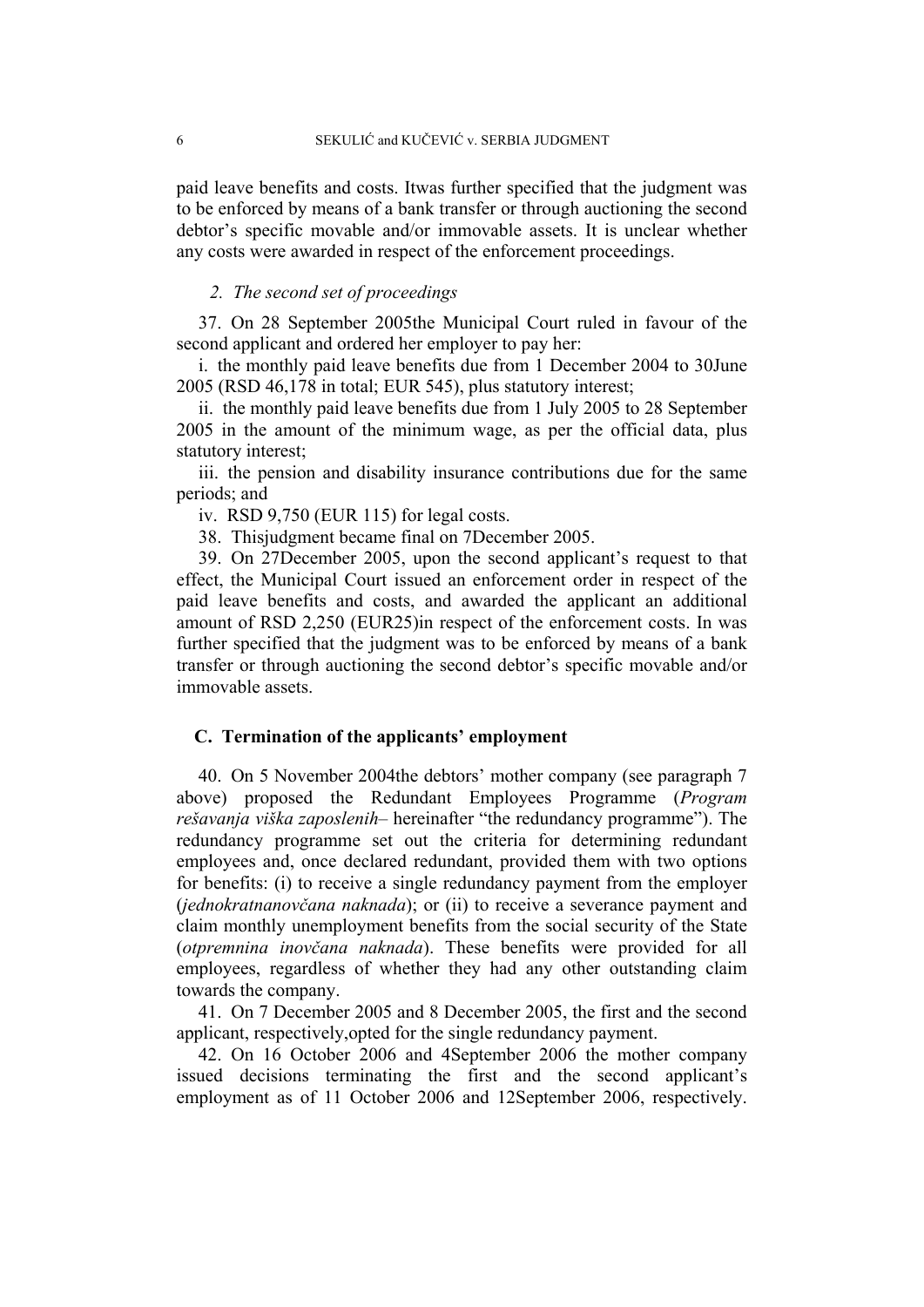paid leave benefits and costs. Itwas further specified that the judgment was to be enforced by means of a bank transfer or through auctioning the second debtor's specific movable and/or immovable assets. It is unclear whether any costs were awarded in respect of the enforcement proceedings.

## *2. The second set of proceedings*

37. On 28 September 2005the Municipal Court ruled in favour of the second applicant and ordered her employer to pay her:

i. the monthly paid leave benefits due from 1 December 2004 to 30June 2005 (RSD 46,178 in total; EUR 545), plus statutory interest;

ii. the monthly paid leave benefits due from 1 July 2005 to 28 September 2005 in the amount of the minimum wage, as per the official data, plus statutory interest;

iii. the pension and disability insurance contributions due for the same periods; and

iv. RSD 9,750 (EUR 115) for legal costs.

38. Thisjudgment became final on 7December 2005.

39. On 27December 2005, upon the second applicant's request to that effect, the Municipal Court issued an enforcement order in respect of the paid leave benefits and costs, and awarded the applicant an additional amount of RSD 2,250 (EUR25)in respect of the enforcement costs. In was further specified that the judgment was to be enforced by means of a bank transfer or through auctioning the second debtor's specific movable and/or immovable assets.

#### **C. Termination of the applicants' employment**

40. On 5 November 2004the debtors' mother company (see paragraph 7 above) proposed the Redundant Employees Programme (*Program rešavanja viška zaposlenih–* hereinafter "the redundancy programme"). The redundancy programme set out the criteria for determining redundant employees and, once declared redundant, provided them with two options for benefits: (i) to receive a single redundancy payment from the employer (*jednokratnanovčana naknada*); or (ii) to receive a severance payment and claim monthly unemployment benefits from the social security of the State (*otpremnina inovčana naknada*). These benefits were provided for all employees, regardless of whether they had any other outstanding claim towards the company.

41. On 7 December 2005 and 8 December 2005, the first and the second applicant, respectively,opted for the single redundancy payment.

42. On 16 October 2006 and 4September 2006 the mother company issued decisions terminating the first and the second applicant's employment as of 11 October 2006 and 12September 2006, respectively.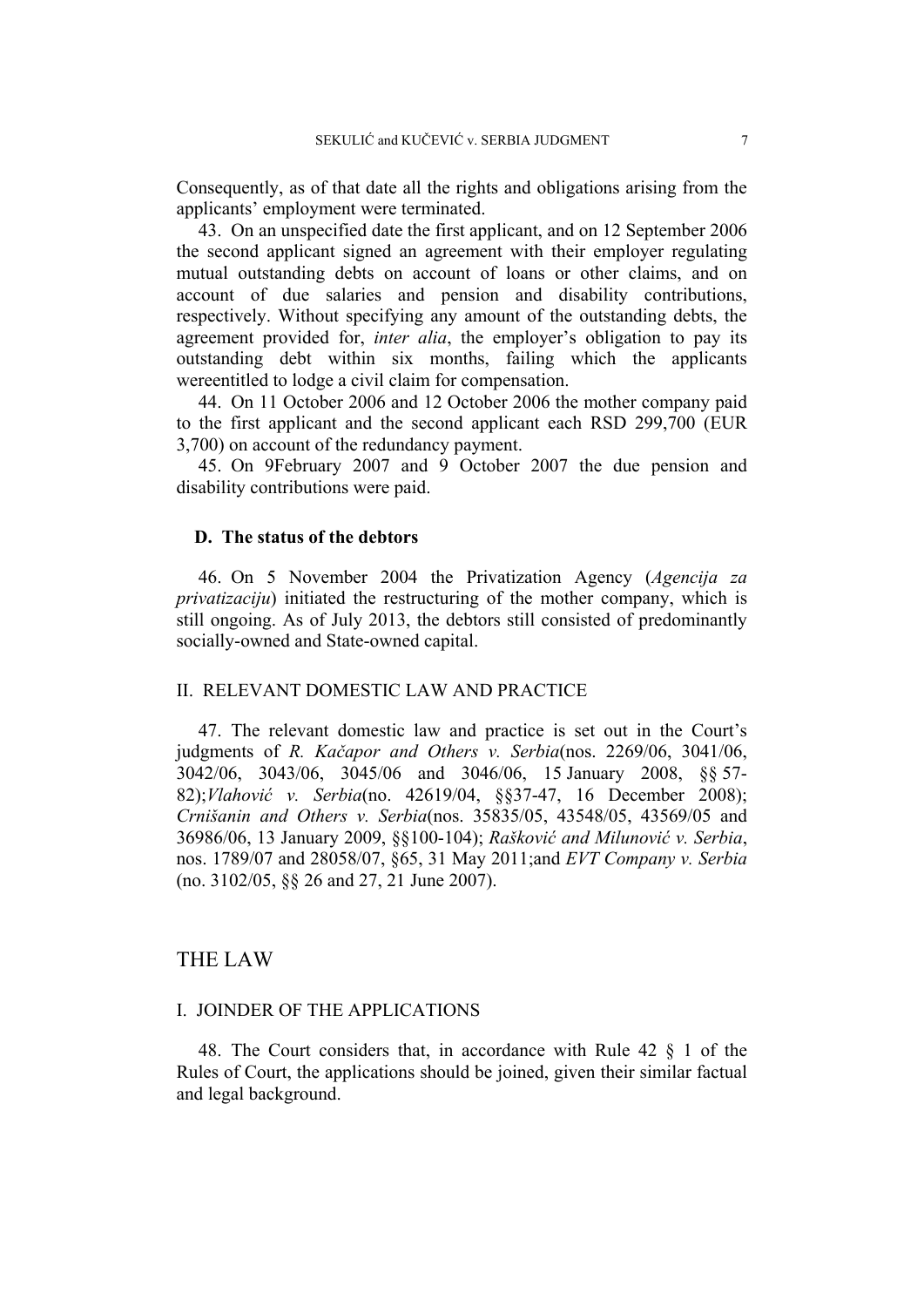Consequently, as of that date all the rights and obligations arising from the applicants' employment were terminated.

43. On an unspecified date the first applicant, and on 12 September 2006 the second applicant signed an agreement with their employer regulating mutual outstanding debts on account of loans or other claims, and on account of due salaries and pension and disability contributions, respectively. Without specifying any amount of the outstanding debts, the agreement provided for, *inter alia*, the employer's obligation to pay its outstanding debt within six months, failing which the applicants wereentitled to lodge a civil claim for compensation.

44. On 11 October 2006 and 12 October 2006 the mother company paid to the first applicant and the second applicant each RSD 299,700 (EUR 3,700) on account of the redundancy payment.

45. On 9February 2007 and 9 October 2007 the due pension and disability contributions were paid.

## **D. The status of the debtors**

46. On 5 November 2004 the Privatization Agency (*Agencija za privatizaciju*) initiated the restructuring of the mother company, which is still ongoing. As of July 2013, the debtors still consisted of predominantly socially-owned and State-owned capital.

## II. RELEVANT DOMESTIC LAW AND PRACTICE

47. The relevant domestic law and practice is set out in the Court's judgments of *R. Kačapor and Others v. Serbia*(nos. 2269/06, 3041/06, 3042/06, 3043/06, 3045/06 and 3046/06, 15 January 2008, §§ 57- 82);*Vlahović v. Serbia*(no. 42619/04, §§37-47, 16 December 2008); *Crnišanin and Others v. Serbia*(nos. 35835/05, 43548/05, 43569/05 and 36986/06, 13 January 2009, §§100-104); *Rašković and Milunović v. Serbia*, nos. 1789/07 and 28058/07, §65, 31 May 2011;and *EVT Company v. Serbia* (no. 3102/05, §§ 26 and 27, 21 June 2007).

## THE LAW

## I. JOINDER OF THE APPLICATIONS

48. The Court considers that, in accordance with Rule 42 § 1 of the Rules of Court, the applications should be joined, given their similar factual and legal background.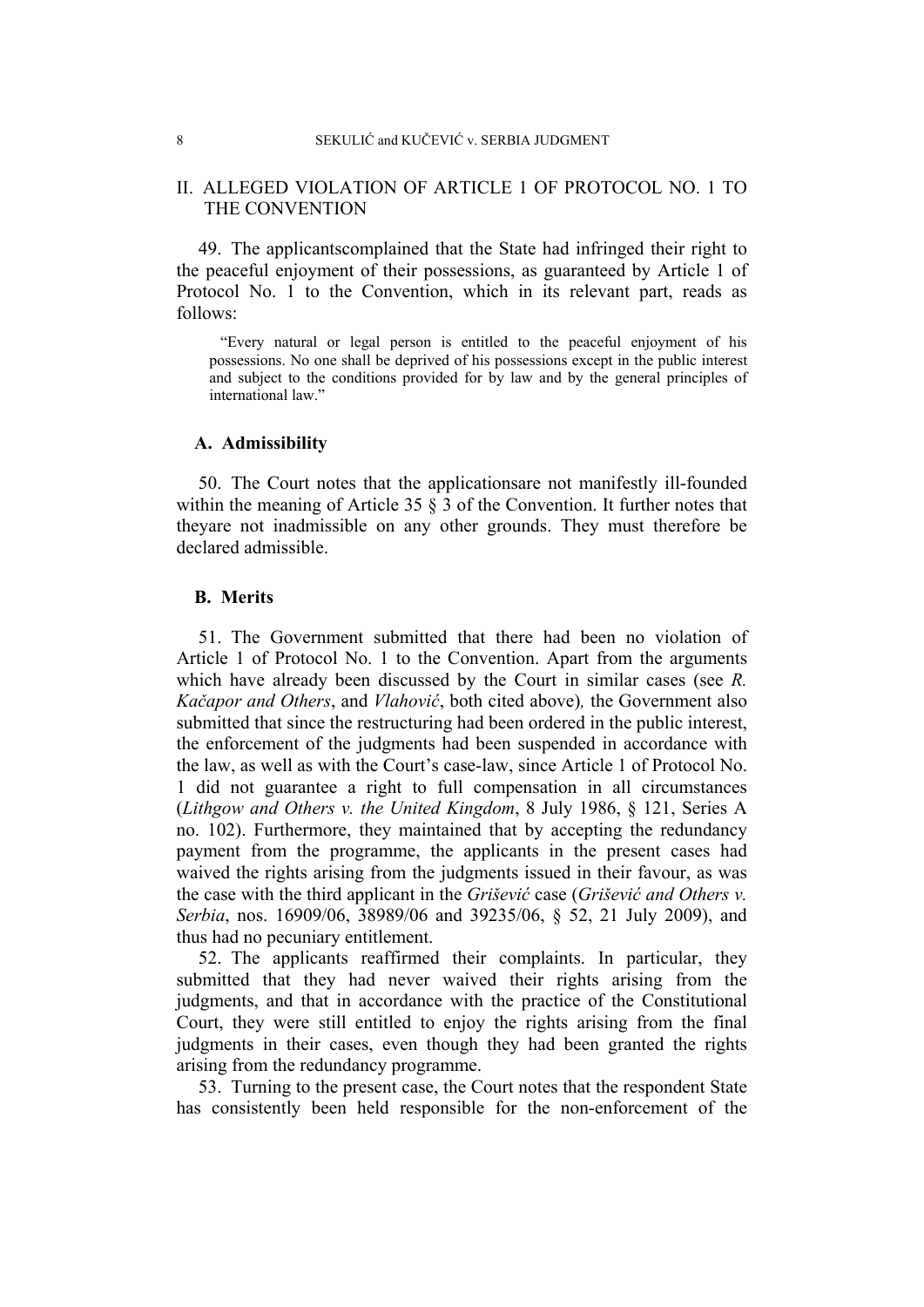## II. ALLEGED VIOLATION OF ARTICLE 1 OF PROTOCOL NO. 1 TO THE CONVENTION

49. The applicantscomplained that the State had infringed their right to the peaceful enjoyment of their possessions, as guaranteed by Article 1 of Protocol No. 1 to the Convention, which in its relevant part, reads as follows:

"Every natural or legal person is entitled to the peaceful enjoyment of his possessions. No one shall be deprived of his possessions except in the public interest and subject to the conditions provided for by law and by the general principles of international law."

## **A. Admissibility**

50. The Court notes that the applicationsare not manifestly ill-founded within the meaning of Article 35  $\S$  3 of the Convention. It further notes that theyare not inadmissible on any other grounds. They must therefore be declared admissible.

### **B. Merits**

51. The Government submitted that there had been no violation of Article 1 of Protocol No. 1 to the Convention. Apart from the arguments which have already been discussed by the Court in similar cases (see *R. Kačapor and Others*, and *Vlahović*, both cited above)*,* the Government also submitted that since the restructuring had been ordered in the public interest, the enforcement of the judgments had been suspended in accordance with the law, as well as with the Court's case-law, since Article 1 of Protocol No. 1 did not guarantee a right to full compensation in all circumstances (*Lithgow and Others v. the United Kingdom*, 8 July 1986, § 121, Series A no. 102). Furthermore, they maintained that by accepting the redundancy payment from the programme, the applicants in the present cases had waived the rights arising from the judgments issued in their favour, as was the case with the third applicant in the *Grišević* case (*Grišević and Others v. Serbia*, nos. 16909/06, 38989/06 and 39235/06, § 52, 21 July 2009), and thus had no pecuniary entitlement.

52. The applicants reaffirmed their complaints. In particular, they submitted that they had never waived their rights arising from the judgments, and that in accordance with the practice of the Constitutional Court, they were still entitled to enjoy the rights arising from the final judgments in their cases, even though they had been granted the rights arising from the redundancy programme.

53. Turning to the present case, the Court notes that the respondent State has consistently been held responsible for the non-enforcement of the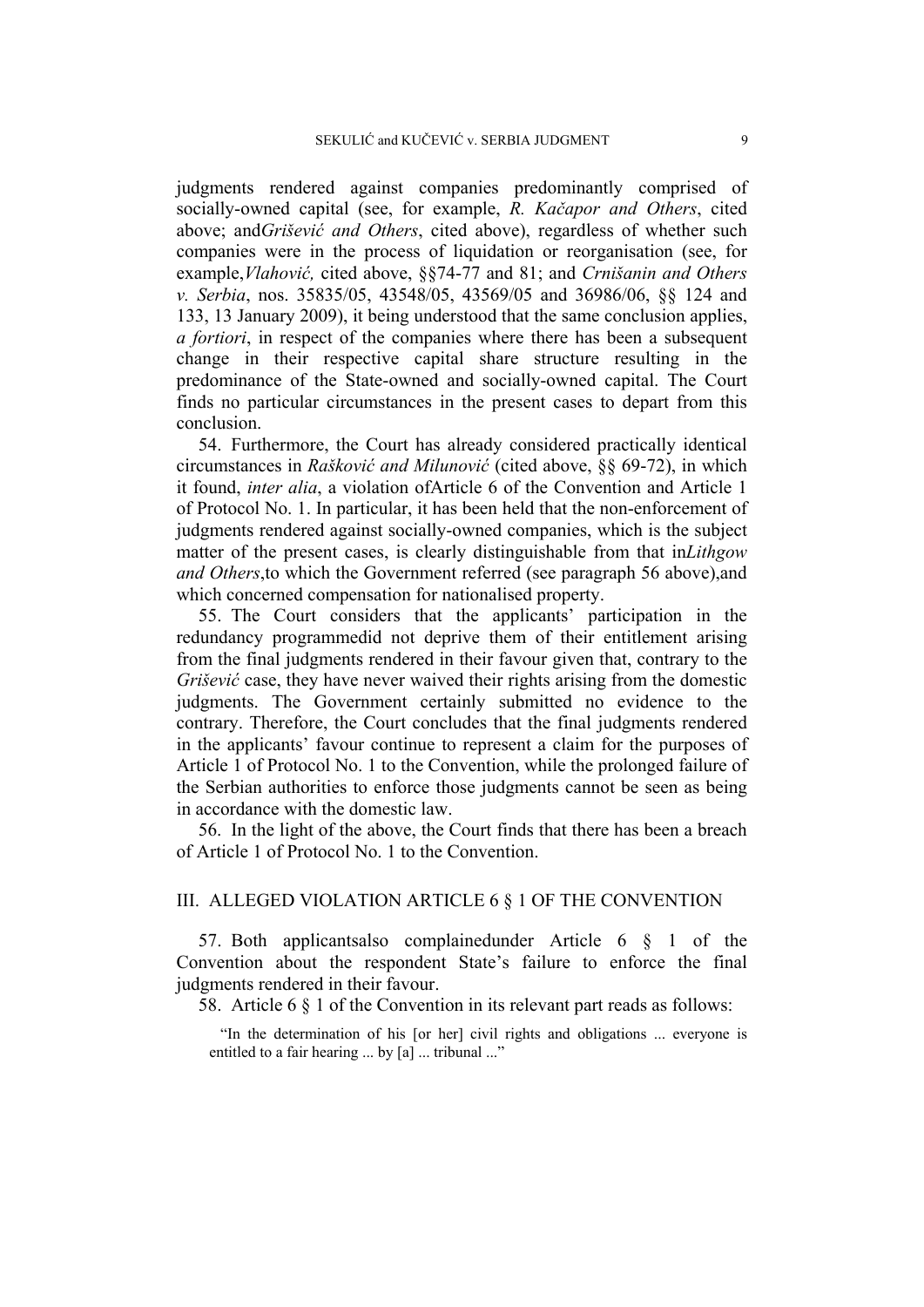judgments rendered against companies predominantly comprised of socially-owned capital (see, for example, *R. Kačapor and Others*, cited above; and*Grišević and Others*, cited above), regardless of whether such companies were in the process of liquidation or reorganisation (see, for example,*Vlahović,* cited above, §§74-77 and 81; and *Crnišanin and Others v. Serbia*, nos. 35835/05, 43548/05, 43569/05 and 36986/06, §§ 124 and 133, 13 January 2009), it being understood that the same conclusion applies, *a fortiori*, in respect of the companies where there has been a subsequent change in their respective capital share structure resulting in the predominance of the State-owned and socially-owned capital. The Court finds no particular circumstances in the present cases to depart from this conclusion.

54. Furthermore, the Court has already considered practically identical circumstances in *Rašković and Milunović* (cited above, §§ 69-72), in which it found, *inter alia*, a violation ofArticle 6 of the Convention and Article 1 of Protocol No. 1. In particular, it has been held that the non-enforcement of judgments rendered against socially-owned companies, which is the subject matter of the present cases, is clearly distinguishable from that in*Lithgow and Others*,to which the Government referred (see paragraph 56 above),and which concerned compensation for nationalised property.

55. The Court considers that the applicants' participation in the redundancy programmedid not deprive them of their entitlement arising from the final judgments rendered in their favour given that, contrary to the *Grišević* case, they have never waived their rights arising from the domestic judgments. The Government certainly submitted no evidence to the contrary. Therefore, the Court concludes that the final judgments rendered in the applicants' favour continue to represent a claim for the purposes of Article 1 of Protocol No. 1 to the Convention, while the prolonged failure of the Serbian authorities to enforce those judgments cannot be seen as being in accordance with the domestic law.

56. In the light of the above, the Court finds that there has been a breach of Article 1 of Protocol No. 1 to the Convention.

## III. ALLEGED VIOLATION ARTICLE 6 § 1 OF THE CONVENTION

57. Both applicantsalso complainedunder Article 6 § 1 of the Convention about the respondent State's failure to enforce the final judgments rendered in their favour.

58. Article 6 § 1 of the Convention in its relevant part reads as follows:

"In the determination of his [or her] civil rights and obligations ... everyone is entitled to a fair hearing ... by [a] ... tribunal ..."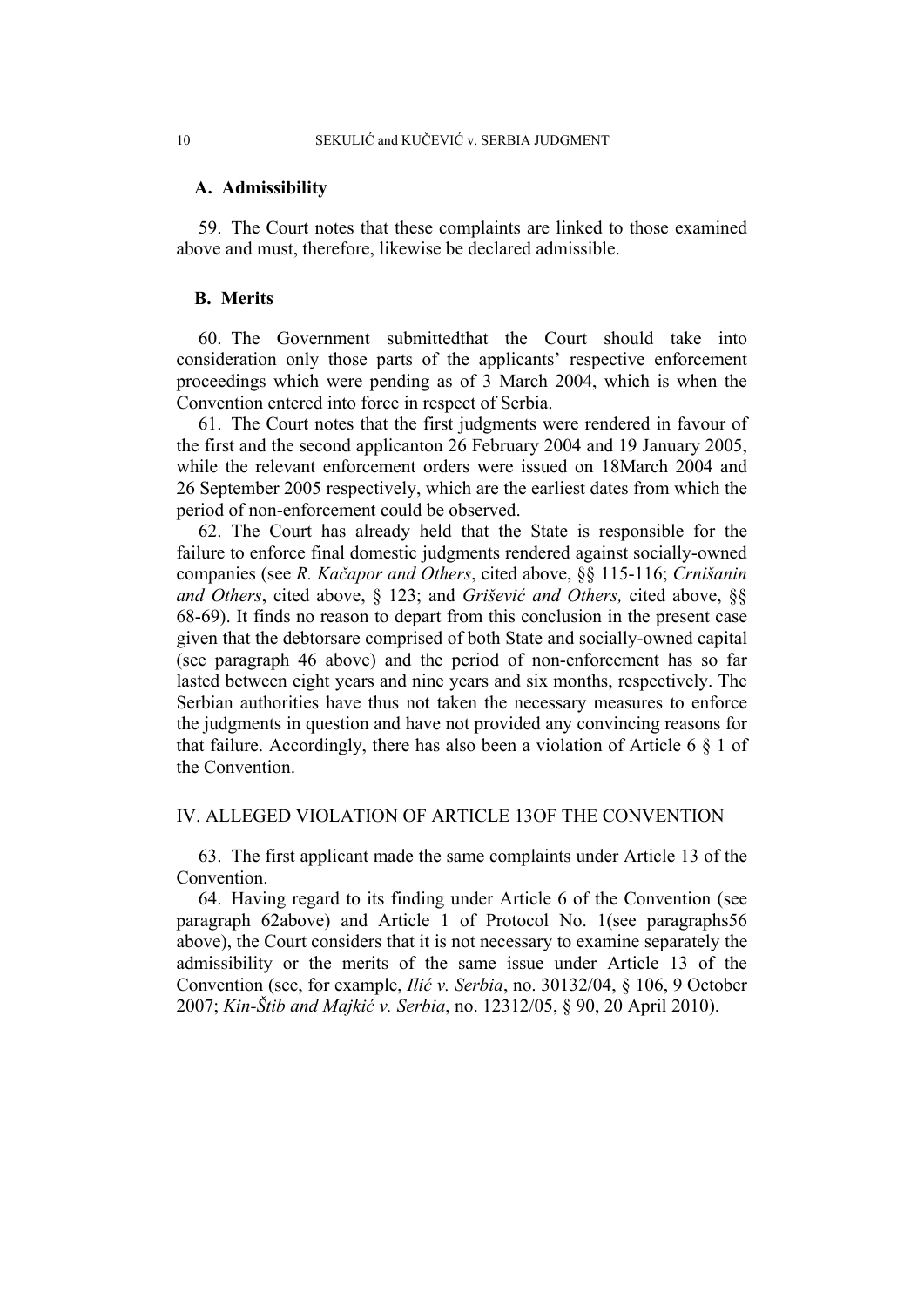#### **A. Admissibility**

59. The Court notes that these complaints are linked to those examined above and must, therefore, likewise be declared admissible.

## **B. Merits**

60. The Government submittedthat the Court should take into consideration only those parts of the applicants' respective enforcement proceedings which were pending as of 3 March 2004, which is when the Convention entered into force in respect of Serbia.

61. The Court notes that the first judgments were rendered in favour of the first and the second applicanton 26 February 2004 and 19 January 2005, while the relevant enforcement orders were issued on 18March 2004 and 26 September 2005 respectively, which are the earliest dates from which the period of non-enforcement could be observed.

62. The Court has already held that the State is responsible for the failure to enforce final domestic judgments rendered against socially-owned companies (see *R. Kačapor and Others*, cited above, §§ 115-116; *Crnišanin and Others*, cited above, § 123; and *Grišević and Others,* cited above, §§ 68-69). It finds no reason to depart from this conclusion in the present case given that the debtorsare comprised of both State and socially-owned capital (see paragraph 46 above) and the period of non-enforcement has so far lasted between eight years and nine years and six months, respectively. The Serbian authorities have thus not taken the necessary measures to enforce the judgments in question and have not provided any convincing reasons for that failure. Accordingly, there has also been a violation of Article 6 § 1 of the Convention.

## IV. ALLEGED VIOLATION OF ARTICLE 13OF THE CONVENTION

63. The first applicant made the same complaints under Article 13 of the **Convention** 

64. Having regard to its finding under Article 6 of the Convention (see paragraph 62above) and Article 1 of Protocol No. 1(see paragraphs56 above), the Court considers that it is not necessary to examine separately the admissibility or the merits of the same issue under Article 13 of the Convention (see, for example, *Ilić v. Serbia*, no. 30132/04, § 106, 9 October 2007; *Kin-Štib and Majkić v. Serbia*, no. 12312/05, § 90, 20 April 2010).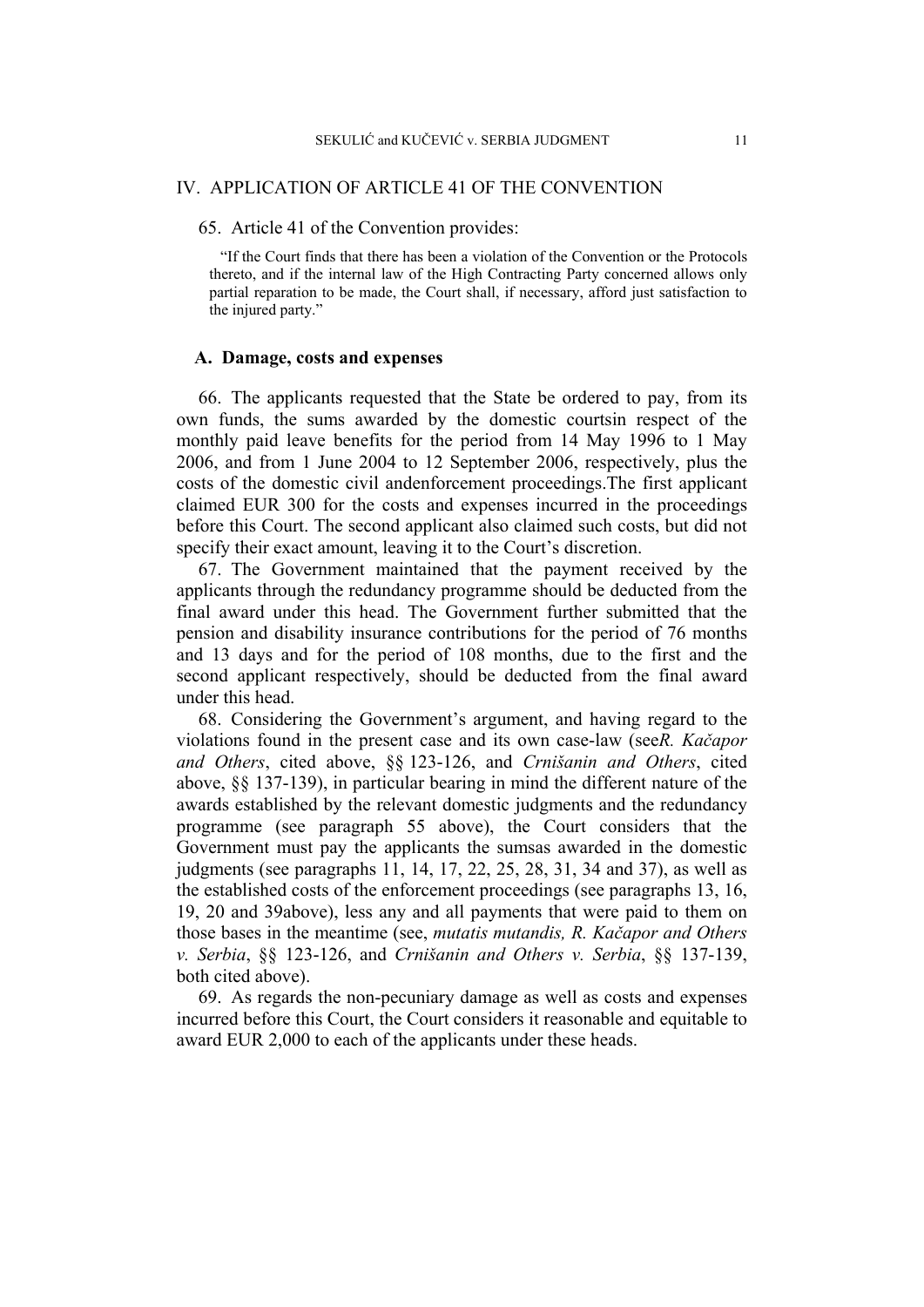## IV. APPLICATION OF ARTICLE 41 OF THE CONVENTION

65. Article 41 of the Convention provides:

"If the Court finds that there has been a violation of the Convention or the Protocols thereto, and if the internal law of the High Contracting Party concerned allows only partial reparation to be made, the Court shall, if necessary, afford just satisfaction to the injured party."

## **A. Damage, costs and expenses**

66. The applicants requested that the State be ordered to pay, from its own funds, the sums awarded by the domestic courtsin respect of the monthly paid leave benefits for the period from 14 May 1996 to 1 May 2006, and from 1 June 2004 to 12 September 2006, respectively, plus the costs of the domestic civil andenforcement proceedings.The first applicant claimed EUR 300 for the costs and expenses incurred in the proceedings before this Court. The second applicant also claimed such costs, but did not specify their exact amount, leaving it to the Court's discretion.

67. The Government maintained that the payment received by the applicants through the redundancy programme should be deducted from the final award under this head. The Government further submitted that the pension and disability insurance contributions for the period of 76 months and 13 days and for the period of 108 months, due to the first and the second applicant respectively, should be deducted from the final award under this head.

68. Considering the Government's argument, and having regard to the violations found in the present case and its own case-law (see*R. Kačapor and Others*, cited above, §§ 123-126, and *Crnišanin and Others*, cited above, §§ 137-139), in particular bearing in mind the different nature of the awards established by the relevant domestic judgments and the redundancy programme (see paragraph 55 above), the Court considers that the Government must pay the applicants the sumsas awarded in the domestic judgments (see paragraphs 11, 14, 17, 22, 25, 28, 31, 34 and 37), as well as the established costs of the enforcement proceedings (see paragraphs 13, 16, 19, 20 and 39above), less any and all payments that were paid to them on those bases in the meantime (see, *mutatis mutandis, R. Kačapor and Others v. Serbia*, §§ 123-126, and *Crnišanin and Others v. Serbia*, §§ 137-139, both cited above).

69. As regards the non-pecuniary damage as well as costs and expenses incurred before this Court, the Court considers it reasonable and equitable to award EUR 2,000 to each of the applicants under these heads.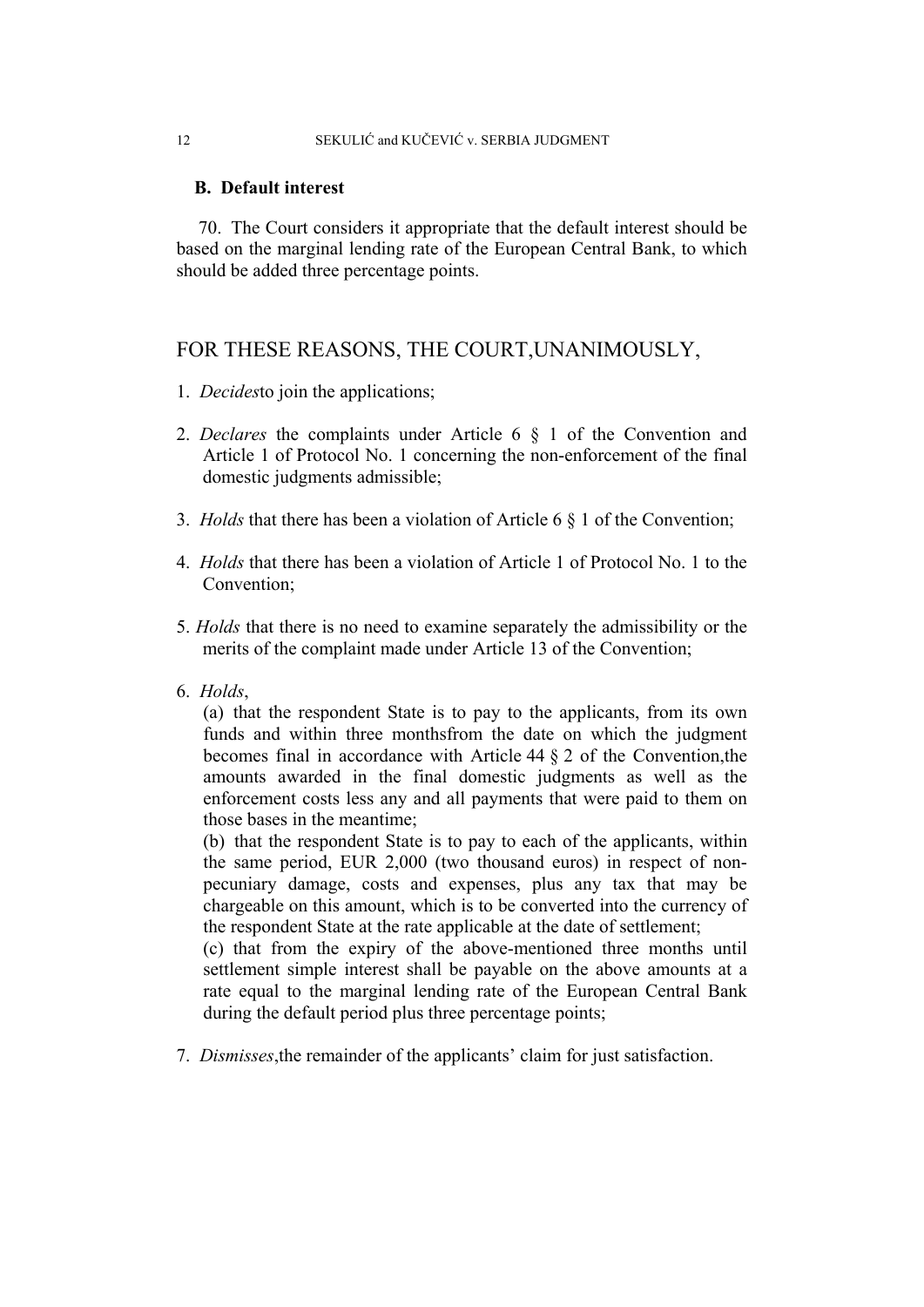## 12 SEKULIĆ and KUČEVIĆ v. SERBIA JUDGMENT

## **B. Default interest**

70. The Court considers it appropriate that the default interest should be based on the marginal lending rate of the European Central Bank, to which should be added three percentage points.

## FOR THESE REASONS, THE COURT,UNANIMOUSLY,

- 1. *Decides*to join the applications;
- 2. *Declares* the complaints under Article 6 § 1 of the Convention and Article 1 of Protocol No. 1 concerning the non-enforcement of the final domestic judgments admissible;
- 3. *Holds* that there has been a violation of Article 6 § 1 of the Convention;
- 4. *Holds* that there has been a violation of Article 1 of Protocol No. 1 to the Convention;
- 5. *Holds* that there is no need to examine separately the admissibility or the merits of the complaint made under Article 13 of the Convention;
- 6. *Holds*,

(a) that the respondent State is to pay to the applicants, from its own funds and within three monthsfrom the date on which the judgment becomes final in accordance with Article 44 § 2 of the Convention,the amounts awarded in the final domestic judgments as well as the enforcement costs less any and all payments that were paid to them on those bases in the meantime;

(b) that the respondent State is to pay to each of the applicants, within the same period, EUR 2,000 (two thousand euros) in respect of nonpecuniary damage, costs and expenses, plus any tax that may be chargeable on this amount, which is to be converted into the currency of the respondent State at the rate applicable at the date of settlement;

(c) that from the expiry of the above-mentioned three months until settlement simple interest shall be payable on the above amounts at a rate equal to the marginal lending rate of the European Central Bank during the default period plus three percentage points;

7. *Dismisses*,the remainder of the applicants' claim for just satisfaction.